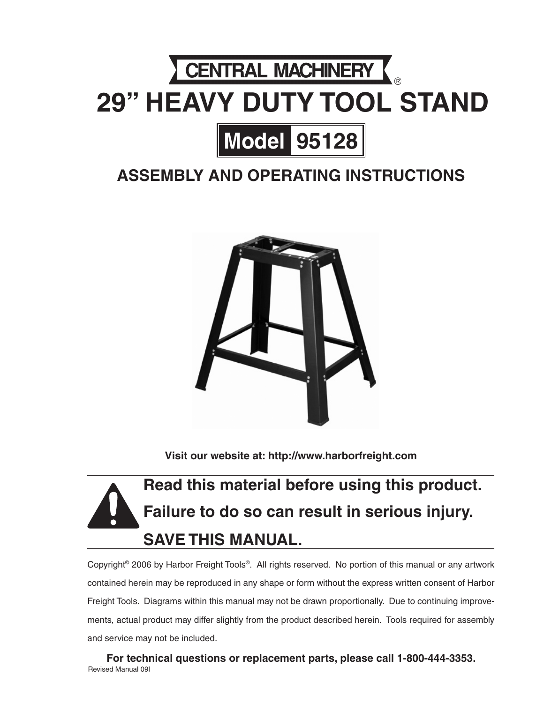# CENTRAL MACHINERY **29" HEAVY DUTY TOOL STAND Model 95128**

### **ASSEMBLY And Operating Instructions**



**Visit our website at: http://www.harborfreight.com**

## **Read this material before using this product. Failure to do so can result in serious injury. Save this manual.**

Copyright© 2006 by Harbor Freight Tools®. All rights reserved. No portion of this manual or any artwork contained herein may be reproduced in any shape or form without the express written consent of Harbor Freight Tools. Diagrams within this manual may not be drawn proportionally. Due to continuing improvements, actual product may differ slightly from the product described herein. Tools required for assembly and service may not be included.

**For technical questions or replacement parts, please call 1-800-444-3353.** Revised Manual 09l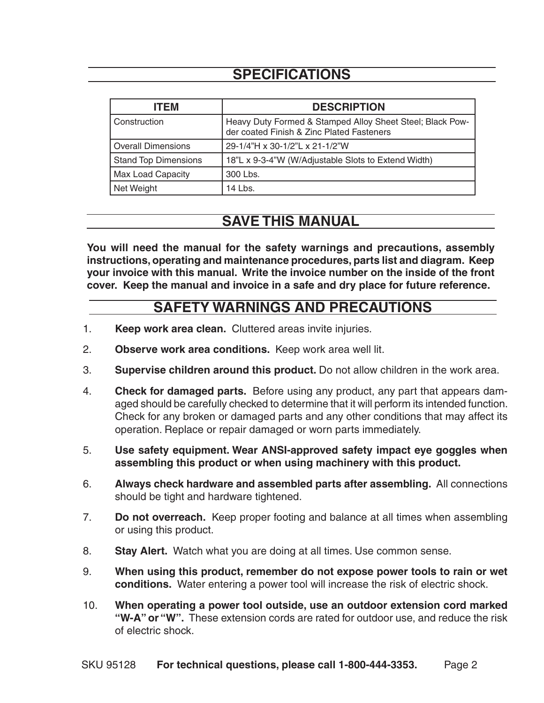### **SPECIFICATIONS**

| <b>ITEM</b>                 | <b>DESCRIPTION</b>                                                                                     |
|-----------------------------|--------------------------------------------------------------------------------------------------------|
| Construction                | Heavy Duty Formed & Stamped Alloy Sheet Steel; Black Pow-<br>der coated Finish & Zinc Plated Fasteners |
| <b>Overall Dimensions</b>   | 29-1/4"H x 30-1/2"L x 21-1/2"W                                                                         |
| <b>Stand Top Dimensions</b> | 18"L x 9-3-4"W (W/Adjustable Slots to Extend Width)                                                    |
| <b>Max Load Capacity</b>    | 300 Lbs.                                                                                               |
| Net Weight                  | 14 Lbs.                                                                                                |

#### **SAVE THIS MANUAL**

**You will need the manual for the safety warnings and precautions, assembly instructions, operating and maintenance procedures, parts list and diagram. Keep your invoice with this manual. Write the invoice number on the inside of the front cover. Keep the manual and invoice in a safe and dry place for future reference.**

#### **SAFETY WARNINGS AND PRECAUTIONS**

- 1. **Keep work area clean.** Cluttered areas invite injuries.
- 2. **Observe work area conditions.** Keep work area well lit.
- 3. **Supervise children around this product.** Do not allow children in the work area.
- 4. **Check for damaged parts.** Before using any product, any part that appears damaged should be carefully checked to determine that it will perform its intended function. Check for any broken or damaged parts and any other conditions that may affect its operation. Replace or repair damaged or worn parts immediately.
- 5. **Use safety equipment. Wear ANSI-approved safety impact eye goggles when assembling this product or when using machinery with this product.**
- 6. **Always check hardware and assembled parts after assembling.** All connections should be tight and hardware tightened.
- 7. **Do not overreach.** Keep proper footing and balance at all times when assembling or using this product.
- 8. **Stay Alert.** Watch what you are doing at all times. Use common sense.
- 9. **When using this product, remember do not expose power tools to rain or wet conditions.** Water entering a power tool will increase the risk of electric shock.
- 10. **When operating a power tool outside, use an outdoor extension cord marked "W-A" or "W".** These extension cords are rated for outdoor use, and reduce the risk of electric shock.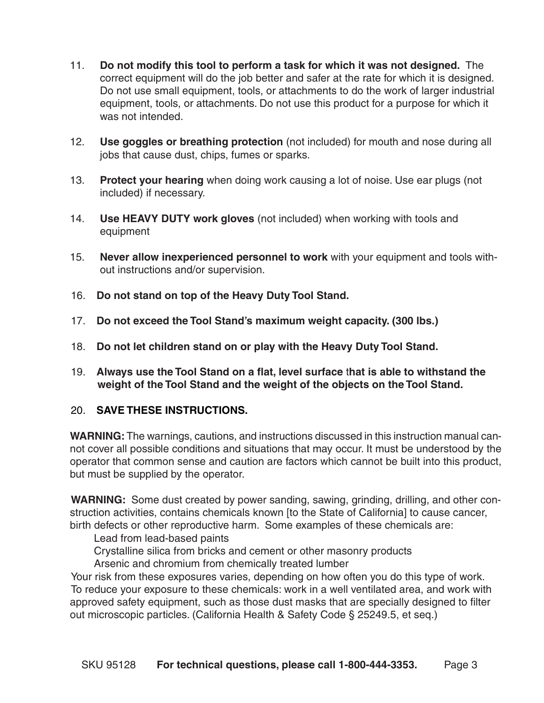- 11. **Do not modify this tool to perform a task for which it was not designed.** The correct equipment will do the job better and safer at the rate for which it is designed. Do not use small equipment, tools, or attachments to do the work of larger industrial equipment, tools, or attachments. Do not use this product for a purpose for which it was not intended.
- 12. **Use goggles or breathing protection** (not included) for mouth and nose during all jobs that cause dust, chips, fumes or sparks.
- 13. **Protect your hearing** when doing work causing a lot of noise. Use ear plugs (not included) if necessary.
- 14. **Use HEAVY DUTY work gloves** (not included) when working with tools and equipment
- 15. **Never allow inexperienced personnel to work** with your equipment and tools without instructions and/or supervision.
- 16. **Do not stand on top of the Heavy Duty Tool Stand.**
- 17. **Do not exceed the Tool Stand's maximum weight capacity. (300 lbs.)**
- 18. **Do not let children stand on or play with the Heavy Duty Tool Stand.**
- 19. **Always use the Tool Stand on a flat, level surface** t**hat is able to withstand the weight of the Tool Stand and the weight of the objects on the Tool Stand.**

#### 20. **Save these instructions.**

WARNING: The warnings, cautions, and instructions discussed in this instruction manual cannot cover all possible conditions and situations that may occur. It must be understood by the operator that common sense and caution are factors which cannot be built into this product, but must be supplied by the operator.

**WARNING:** Some dust created by power sanding, sawing, grinding, drilling, and other construction activities, contains chemicals known [to the State of California] to cause cancer, birth defects or other reproductive harm. Some examples of these chemicals are:

Lead from lead-based paints

Crystalline silica from bricks and cement or other masonry products

Arsenic and chromium from chemically treated lumber

Your risk from these exposures varies, depending on how often you do this type of work. To reduce your exposure to these chemicals: work in a well ventilated area, and work with approved safety equipment, such as those dust masks that are specially designed to filter out microscopic particles. (California Health & Safety Code § 25249.5, et seq.)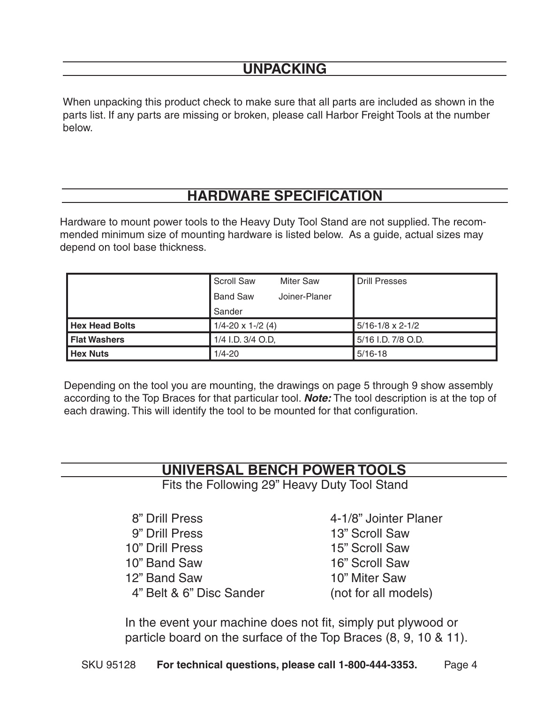#### **Unpacking**

When unpacking this product check to make sure that all parts are included as shown in the parts list. If any parts are missing or broken, please call Harbor Freight Tools at the number below.

### **hardware specification**

Hardware to mount power tools to the Heavy Duty Tool Stand are not supplied. The recommended minimum size of mounting hardware is listed below. As a guide, actual sizes may depend on tool base thickness.

|                       | <b>Scroll Saw</b>             | <b>Miter Saw</b> | <b>Drill Presses</b>        |
|-----------------------|-------------------------------|------------------|-----------------------------|
|                       | <b>Band Saw</b>               | Joiner-Planer    |                             |
|                       | Sander                        |                  |                             |
| <b>Hex Head Bolts</b> | $1/4 - 20 \times 1 - / 2$ (4) |                  | $5/16 - 1/8 \times 2 - 1/2$ |
| <b>Flat Washers</b>   | 1/4 I.D. 3/4 O.D,             |                  | 5/16 I.D. 7/8 O.D.          |
| <b>Hex Nuts</b>       | $1/4 - 20$                    |                  | $5/16-18$                   |

Depending on the tool you are mounting, the drawings on page 5 through 9 show assembly according to the Top Braces for that particular tool. *Note:* The tool description is at the top of each drawing. This will identify the tool to be mounted for that configuration.

#### **universal bench power tools**

Fits the Following 29" Heavy Duty Tool Stand

 8" Drill Press 4-1/8" Jointer Planer 9" Drill Press 13" Scroll Saw 10" Drill Press 15" Scroll Saw 10" Band Saw 16" Scroll Saw 12" Band Saw 10" Miter Saw 4" Belt & 6" Disc Sander (not for all models)

In the event your machine does not fit, simply put plywood or particle board on the surface of the Top Braces (8, 9, 10 & 11).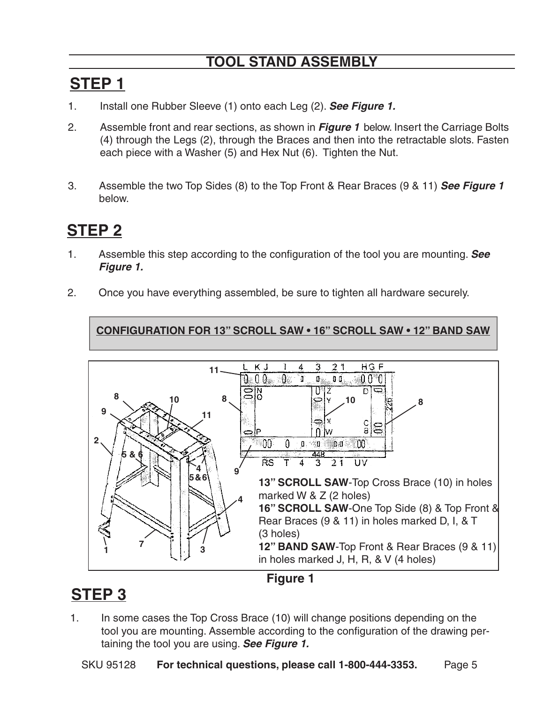### **Tool Stand Assembly**

### **Step 1**

- 1. Install one Rubber Sleeve (1) onto each Leg (2). *See Figure 1.*
- 2. Assemble front and rear sections, as shown in *Figure 1* below. Insert the Carriage Bolts (4) through the Legs (2), through the Braces and then into the retractable slots. Fasten each piece with a Washer (5) and Hex Nut (6). Tighten the Nut.
- 3. Assemble the two Top Sides (8) to the Top Front & Rear Braces (9 & 11) *See Figure 1*  below.

### **Step 2**

- 1. Assemble this step according to the configuration of the tool you are mounting. *See Figure 1.*
- 2. Once you have everything assembled, be sure to tighten all hardware securely.

**CONFIGURATION FOR 13" scroll saw • 16" scroll saw • 12" band saw**



#### **Figure 1**

### **Step 3**

1. In some cases the Top Cross Brace (10) will change positions depending on the tool you are mounting. Assemble according to the configuration of the drawing pertaining the tool you are using. *See Figure 1.*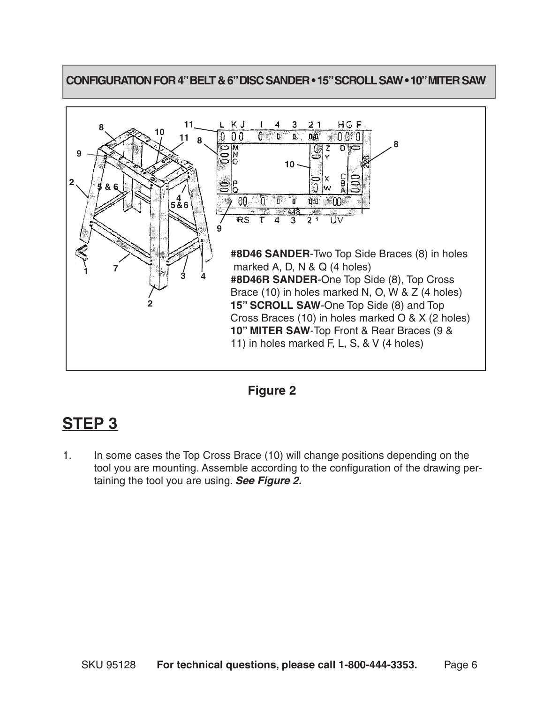#### **CONFIGURATION FOR 4" BELT & 6" DISC SANDER • 15" SCROLL SAW • 10" MITER SAW**





### **Step 3**

1. In some cases the Top Cross Brace (10) will change positions depending on the tool you are mounting. Assemble according to the configuration of the drawing pertaining the tool you are using. *See Figure 2.*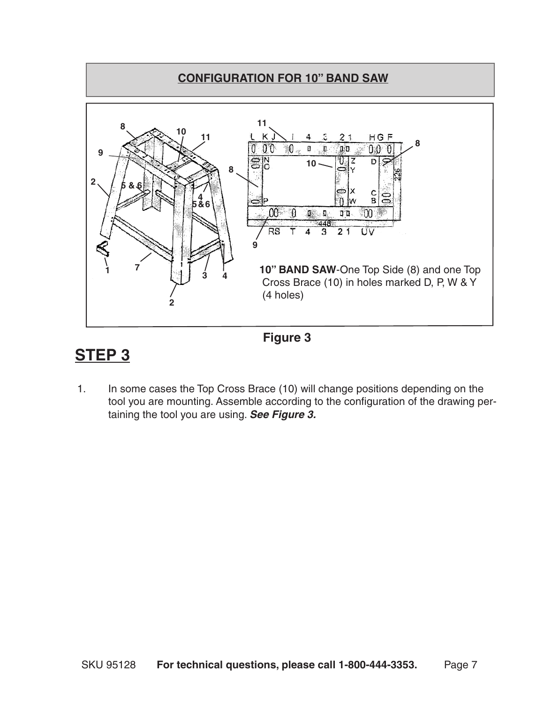



### **Step 3**

1. In some cases the Top Cross Brace (10) will change positions depending on the tool you are mounting. Assemble according to the configuration of the drawing pertaining the tool you are using. *See Figure 3.*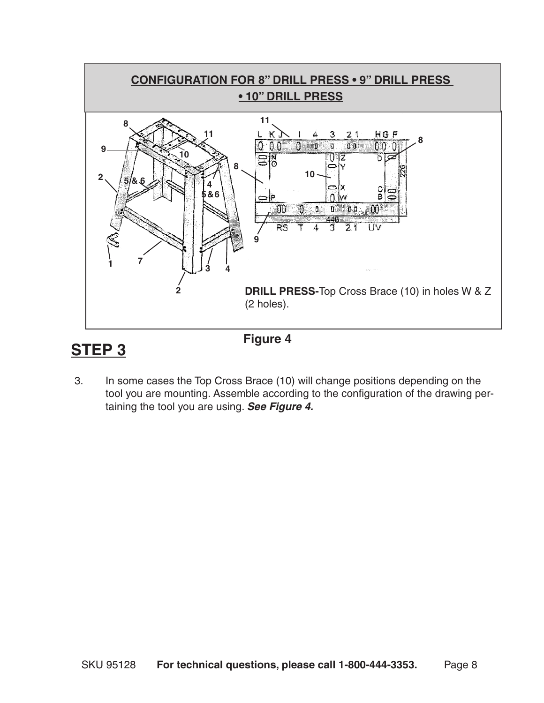



3. In some cases the Top Cross Brace (10) will change positions depending on the tool you are mounting. Assemble according to the configuration of the drawing pertaining the tool you are using. *See Figure 4.*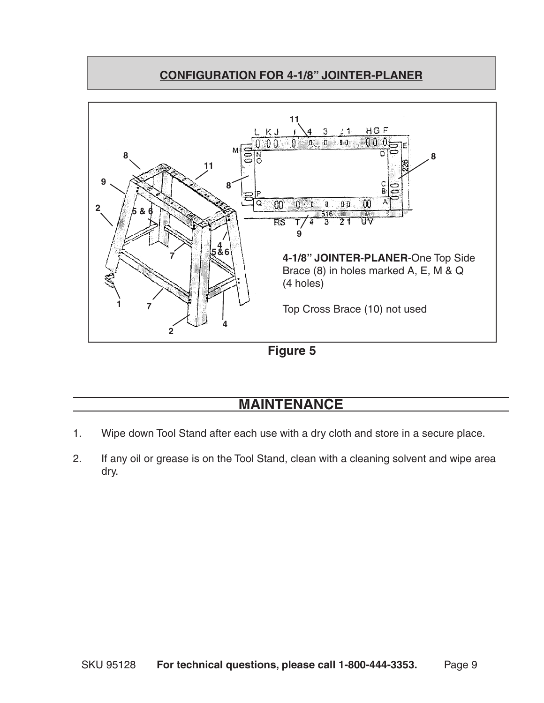#### **CONFIGURATION FOR 4-1/8" JOINTER-PLANER**



**Figure 5**

#### **MAINTENANCE**

- 1. Wipe down Tool Stand after each use with a dry cloth and store in a secure place.
- 2. If any oil or grease is on the Tool Stand, clean with a cleaning solvent and wipe area dry.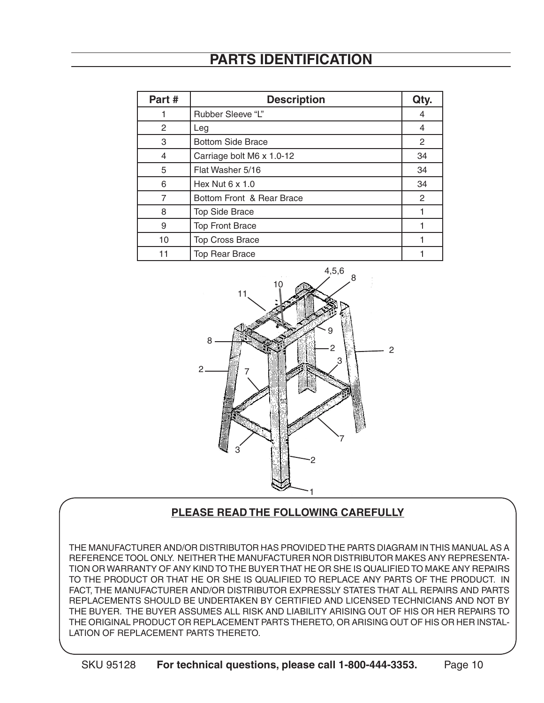### **Parts Identification**

| Part#          | <b>Description</b>        | Qty. |
|----------------|---------------------------|------|
|                | Rubber Sleeve "L"         | 4    |
| 2              | Leg                       | 4    |
| 3              | <b>Bottom Side Brace</b>  | 2    |
| 4              | Carriage bolt M6 x 1.0-12 | 34   |
| 5              | Flat Washer 5/16          | 34   |
| 6              | Hex Nut $6 \times 1.0$    | 34   |
| $\overline{7}$ | Bottom Front & Rear Brace | 2    |
| 8              | <b>Top Side Brace</b>     |      |
| 9              | <b>Top Front Brace</b>    |      |
| 10             | <b>Top Cross Brace</b>    |      |
| 11             | <b>Top Rear Brace</b>     |      |



#### **PLEASE READ THE FOLLOWING CAREFULLY**

THE MANUFACTURER AND/OR DISTRIBUTOR HAS PROVIDED THE PARTS DIAGRAM IN THIS MANUAL AS A REFERENCE TOOL ONLY. NEITHER THE MANUFACTURER NOR DISTRIBUTOR MAKES ANY REPRESENTA-TION OR WARRANTY OF ANY KIND TO THE BUYER THAT HE OR SHE IS QUALIFIED TO MAKE ANY REPAIRS TO THE PRODUCT OR THAT HE OR SHE IS QUALIFIED TO REPLACE ANY PARTS OF THE PRODUCT. IN FACT, THE MANUFACTURER AND/OR DISTRIBUTOR EXPRESSLY STATES THAT ALL REPAIRS AND PARTS REPLACEMENTS SHOULD BE UNDERTAKEN BY CERTIFIED AND LICENSED TECHNICIANS AND NOT BY THE BUYER. THE BUYER ASSUMES ALL RISK AND LIABILITY ARISING OUT OF HIS OR HER REPAIRS TO THE ORIGINAL PRODUCT OR REPLACEMENT PARTS THERETO, OR ARISING OUT OF HIS OR HER INSTAL-LATION OF REPLACEMENT PARTS THERETO.